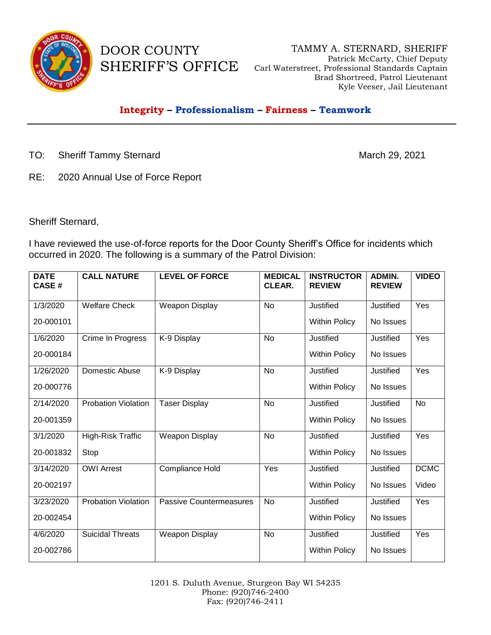

DOOR COUNTY

SHERIFF'S OFFICE Carl Waterstreet, Professional Standards Captain TAMMY A. STERNARD, SHERIFF Patrick McCarty, Chief Deputy Brad Shortreed, Patrol Lieutenant Kyle Veeser, Jail Lieutenant

## **Integrity – Professionalism – Fairness – Teamwork**

TO: Sheriff Tammy Sternard March 29, 2021

RE: 2020 Annual Use of Force Report

Sheriff Sternard,

I have reviewed the use-of-force reports for the Door County Sheriff's Office for incidents which occurred in 2020. The following is a summary of the Patrol Division:

| <b>DATE</b><br><b>CASE#</b> | <b>CALL NATURE</b>         | <b>LEVEL OF FORCE</b>          | <b>MEDICAL</b><br>CLEAR. | <b>INSTRUCTOR</b><br><b>REVIEW</b> | ADMIN.<br><b>REVIEW</b> | <b>VIDEO</b> |
|-----------------------------|----------------------------|--------------------------------|--------------------------|------------------------------------|-------------------------|--------------|
| 1/3/2020                    | <b>Welfare Check</b>       | Weapon Display                 | No                       | Justified                          | Justified               | Yes          |
| 20-000101                   |                            |                                |                          | <b>Within Policy</b>               | No Issues               |              |
| 1/6/2020                    | Crime In Progress          | K-9 Display                    | <b>No</b>                | <b>Justified</b>                   | Justified               | Yes          |
| 20-000184                   |                            |                                |                          | <b>Within Policy</b>               | No Issues               |              |
| 1/26/2020                   | Domestic Abuse             | K-9 Display                    | <b>No</b>                | <b>Justified</b>                   | Justified               | Yes          |
| 20-000776                   |                            |                                |                          | <b>Within Policy</b>               | No Issues               |              |
| 2/14/2020                   | <b>Probation Violation</b> | <b>Taser Display</b>           | <b>No</b>                | Justified                          | Justified               | <b>No</b>    |
| 20-001359                   |                            |                                |                          | <b>Within Policy</b>               | No Issues               |              |
| 3/1/2020                    | High-Risk Traffic          | Weapon Display                 | <b>No</b>                | <b>Justified</b>                   | Justified               | Yes          |
| 20-001832                   | Stop                       |                                |                          | <b>Within Policy</b>               | No Issues               |              |
| 3/14/2020                   | <b>OWI Arrest</b>          | Compliance Hold                | Yes                      | Justified                          | Justified               | <b>DCMC</b>  |
| 20-002197                   |                            |                                |                          | <b>Within Policy</b>               | No Issues               | Video        |
| 3/23/2020                   | <b>Probation Violation</b> | <b>Passive Countermeasures</b> | <b>No</b>                | Justified                          | Justified               | Yes          |
| 20-002454                   |                            |                                |                          | <b>Within Policy</b>               | No Issues               |              |
| 4/6/2020                    | <b>Suicidal Threats</b>    | <b>Weapon Display</b>          | <b>No</b>                | Justified                          | Justified               | Yes          |
| 20-002786                   |                            |                                |                          | <b>Within Policy</b>               | No Issues               |              |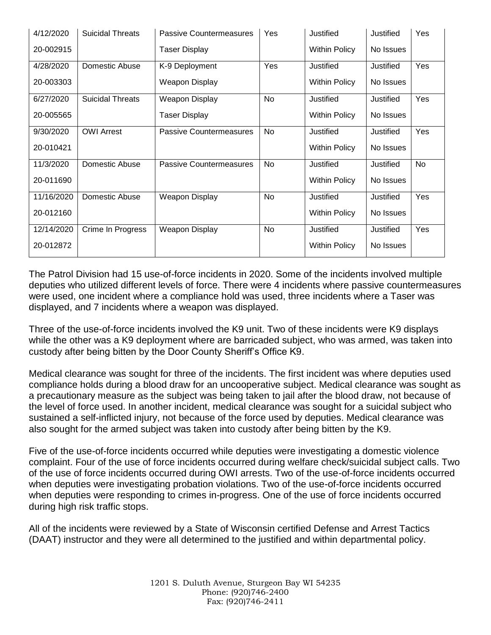| 4/12/2020  | <b>Suicidal Threats</b> | <b>Passive Countermeasures</b> | Yes | Justified            | Justified | Yes |
|------------|-------------------------|--------------------------------|-----|----------------------|-----------|-----|
| 20-002915  |                         | <b>Taser Display</b>           |     | <b>Within Policy</b> | No Issues |     |
| 4/28/2020  | Domestic Abuse          | K-9 Deployment                 | Yes | Justified            | Justified | Yes |
| 20-003303  |                         | <b>Weapon Display</b>          |     | <b>Within Policy</b> | No Issues |     |
| 6/27/2020  | <b>Suicidal Threats</b> | <b>Weapon Display</b>          | No  | Justified            | Justified | Yes |
| 20-005565  |                         | <b>Taser Display</b>           |     | <b>Within Policy</b> | No Issues |     |
| 9/30/2020  | <b>OWI Arrest</b>       | <b>Passive Countermeasures</b> | No  | Justified            | Justified | Yes |
| 20-010421  |                         |                                |     | <b>Within Policy</b> | No Issues |     |
| 11/3/2020  | Domestic Abuse          | <b>Passive Countermeasures</b> | No  | Justified            | Justified | No  |
| 20-011690  |                         |                                |     | <b>Within Policy</b> | No Issues |     |
| 11/16/2020 | Domestic Abuse          | <b>Weapon Display</b>          | No  | Justified            | Justified | Yes |
| 20-012160  |                         |                                |     | <b>Within Policy</b> | No Issues |     |
| 12/14/2020 | Crime In Progress       | Weapon Display                 | No  | Justified            | Justified | Yes |
| 20-012872  |                         |                                |     | <b>Within Policy</b> | No Issues |     |

The Patrol Division had 15 use-of-force incidents in 2020. Some of the incidents involved multiple deputies who utilized different levels of force. There were 4 incidents where passive countermeasures were used, one incident where a compliance hold was used, three incidents where a Taser was displayed, and 7 incidents where a weapon was displayed.

Three of the use-of-force incidents involved the K9 unit. Two of these incidents were K9 displays while the other was a K9 deployment where are barricaded subject, who was armed, was taken into custody after being bitten by the Door County Sheriff's Office K9.

Medical clearance was sought for three of the incidents. The first incident was where deputies used compliance holds during a blood draw for an uncooperative subject. Medical clearance was sought as a precautionary measure as the subject was being taken to jail after the blood draw, not because of the level of force used. In another incident, medical clearance was sought for a suicidal subject who sustained a self-inflicted injury, not because of the force used by deputies. Medical clearance was also sought for the armed subject was taken into custody after being bitten by the K9.

Five of the use-of-force incidents occurred while deputies were investigating a domestic violence complaint. Four of the use of force incidents occurred during welfare check/suicidal subject calls. Two of the use of force incidents occurred during OWI arrests. Two of the use-of-force incidents occurred when deputies were investigating probation violations. Two of the use-of-force incidents occurred when deputies were responding to crimes in-progress. One of the use of force incidents occurred during high risk traffic stops.

All of the incidents were reviewed by a State of Wisconsin certified Defense and Arrest Tactics (DAAT) instructor and they were all determined to the justified and within departmental policy.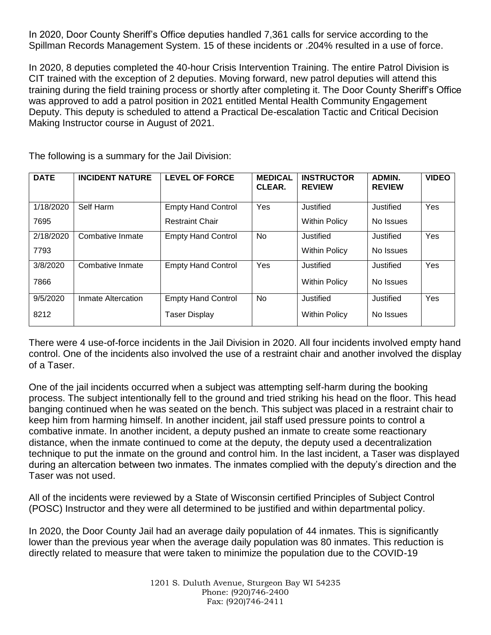In 2020, Door County Sheriff's Office deputies handled 7,361 calls for service according to the Spillman Records Management System. 15 of these incidents or .204% resulted in a use of force.

In 2020, 8 deputies completed the 40-hour Crisis Intervention Training. The entire Patrol Division is CIT trained with the exception of 2 deputies. Moving forward, new patrol deputies will attend this training during the field training process or shortly after completing it. The Door County Sheriff's Office was approved to add a patrol position in 2021 entitled Mental Health Community Engagement Deputy. This deputy is scheduled to attend a Practical De-escalation Tactic and Critical Decision Making Instructor course in August of 2021.

| <b>DATE</b> | <b>INCIDENT NATURE</b> | <b>LEVEL OF FORCE</b>     | <b>MEDICAL</b><br>CLEAR. | <b>INSTRUCTOR</b><br><b>REVIEW</b> | <b>ADMIN.</b><br><b>REVIEW</b> | <b>VIDEO</b> |
|-------------|------------------------|---------------------------|--------------------------|------------------------------------|--------------------------------|--------------|
| 1/18/2020   | Self Harm              | <b>Empty Hand Control</b> | Yes                      | Justified                          | Justified                      | Yes          |
| 7695        |                        | <b>Restraint Chair</b>    |                          | <b>Within Policy</b>               | No Issues                      |              |
| 2/18/2020   | Combative Inmate       | <b>Empty Hand Control</b> | <b>No</b>                | Justified                          | Justified                      | Yes          |
| 7793        |                        |                           |                          | <b>Within Policy</b>               | No Issues                      |              |
| 3/8/2020    | Combative Inmate       | <b>Empty Hand Control</b> | Yes                      | Justified                          | Justified                      | Yes          |
| 7866        |                        |                           |                          | <b>Within Policy</b>               | No Issues                      |              |
| 9/5/2020    | Inmate Altercation     | <b>Empty Hand Control</b> | <b>No</b>                | Justified                          | Justified                      | Yes          |
| 8212        |                        | <b>Taser Display</b>      |                          | <b>Within Policy</b>               | No Issues                      |              |

The following is a summary for the Jail Division:

There were 4 use-of-force incidents in the Jail Division in 2020. All four incidents involved empty hand control. One of the incidents also involved the use of a restraint chair and another involved the display of a Taser.

One of the jail incidents occurred when a subject was attempting self-harm during the booking process. The subject intentionally fell to the ground and tried striking his head on the floor. This head banging continued when he was seated on the bench. This subject was placed in a restraint chair to keep him from harming himself. In another incident, jail staff used pressure points to control a combative inmate. In another incident, a deputy pushed an inmate to create some reactionary distance, when the inmate continued to come at the deputy, the deputy used a decentralization technique to put the inmate on the ground and control him. In the last incident, a Taser was displayed during an altercation between two inmates. The inmates complied with the deputy's direction and the Taser was not used.

All of the incidents were reviewed by a State of Wisconsin certified Principles of Subject Control (POSC) Instructor and they were all determined to be justified and within departmental policy.

In 2020, the Door County Jail had an average daily population of 44 inmates. This is significantly lower than the previous year when the average daily population was 80 inmates. This reduction is directly related to measure that were taken to minimize the population due to the COVID-19

> 1201 S. Duluth Avenue, Sturgeon Bay WI 54235 Phone: (920)746-2400 Fax: (920)746-2411